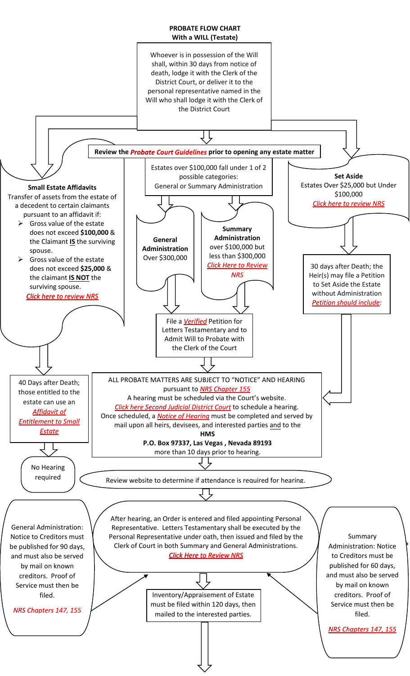## **PROBATE FLOW CHART With a WILL (Testate)**